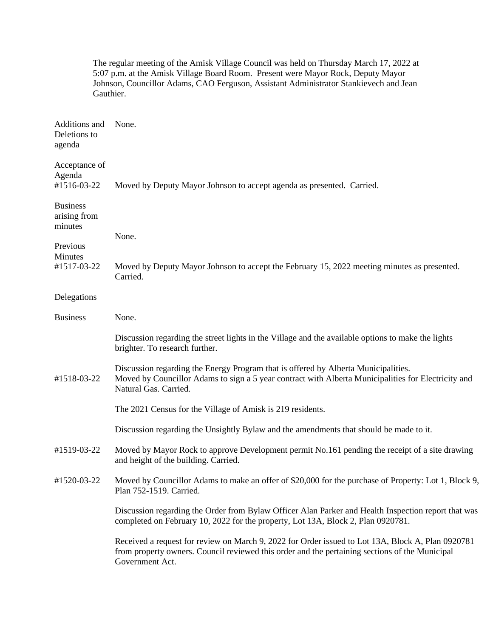|                                            | The regular meeting of the Amisk Village Council was held on Thursday March 17, 2022 at<br>5:07 p.m. at the Amisk Village Board Room. Present were Mayor Rock, Deputy Mayor<br>Johnson, Councillor Adams, CAO Ferguson, Assistant Administrator Stankievech and Jean<br>Gauthier. |
|--------------------------------------------|-----------------------------------------------------------------------------------------------------------------------------------------------------------------------------------------------------------------------------------------------------------------------------------|
| Additions and<br>Deletions to<br>agenda    | None.                                                                                                                                                                                                                                                                             |
| Acceptance of<br>Agenda<br>#1516-03-22     | Moved by Deputy Mayor Johnson to accept agenda as presented. Carried.                                                                                                                                                                                                             |
| <b>Business</b><br>arising from<br>minutes |                                                                                                                                                                                                                                                                                   |
|                                            | None.                                                                                                                                                                                                                                                                             |
| Previous<br>Minutes<br>#1517-03-22         | Moved by Deputy Mayor Johnson to accept the February 15, 2022 meeting minutes as presented.<br>Carried.                                                                                                                                                                           |
| Delegations                                |                                                                                                                                                                                                                                                                                   |
| <b>Business</b>                            | None.                                                                                                                                                                                                                                                                             |
|                                            | Discussion regarding the street lights in the Village and the available options to make the lights<br>brighter. To research further.                                                                                                                                              |
| #1518-03-22                                | Discussion regarding the Energy Program that is offered by Alberta Municipalities.<br>Moved by Councillor Adams to sign a 5 year contract with Alberta Municipalities for Electricity and<br>Natural Gas. Carried.                                                                |
|                                            | The 2021 Census for the Village of Amisk is 219 residents.                                                                                                                                                                                                                        |
|                                            | Discussion regarding the Unsightly Bylaw and the amendments that should be made to it.                                                                                                                                                                                            |
| #1519-03-22                                | Moved by Mayor Rock to approve Development permit No.161 pending the receipt of a site drawing<br>and height of the building. Carried.                                                                                                                                            |
| #1520-03-22                                | Moved by Councillor Adams to make an offer of \$20,000 for the purchase of Property: Lot 1, Block 9,<br>Plan 752-1519. Carried.                                                                                                                                                   |
|                                            | Discussion regarding the Order from Bylaw Officer Alan Parker and Health Inspection report that was<br>completed on February 10, 2022 for the property, Lot 13A, Block 2, Plan 0920781.                                                                                           |
|                                            | Received a request for review on March 9, 2022 for Order issued to Lot 13A, Block A, Plan 0920781<br>from property owners. Council reviewed this order and the pertaining sections of the Municipal<br>Government Act.                                                            |